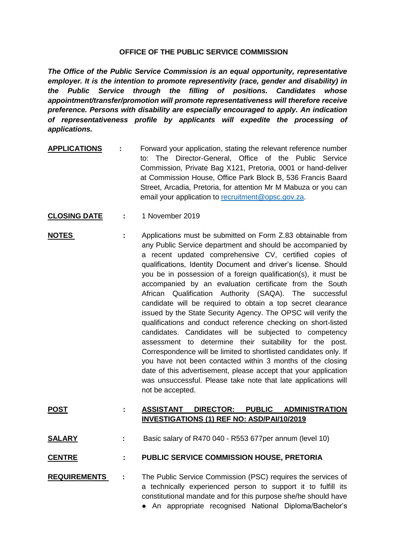## **OFFICE OF THE PUBLIC SERVICE COMMISSION**

*The Office of the Public Service Commission is an equal opportunity, representative employer. It is the intention to promote representivity (race, gender and disability) in the Public Service through the filling of positions. Candidates whose appointment/transfer/promotion will promote representativeness will therefore receive preference. Persons with disability are especially encouraged to apply. An indication of representativeness profile by applicants will expedite the processing of applications.*

- **APPLICATIONS :** Forward your application, stating the relevant reference number to: The Director-General, Office of the Public Service Commission, Private Bag X121, Pretoria, 0001 or hand-deliver at Commission House, Office Park Block B, 536 Francis Baard Street, Arcadia, Pretoria, for attention Mr M Mabuza or you can email your application to [recruitment@opsc.gov.za.](mailto:recruitment@opsc.gov.za)
- **CLOSING DATE :** 1 November 2019
- **NOTES** : Applications must be submitted on Form Z.83 obtainable from any Public Service department and should be accompanied by a recent updated comprehensive CV, certified copies of qualifications, Identity Document and driver's license. Should you be in possession of a foreign qualification(s), it must be accompanied by an evaluation certificate from the South African Qualification Authority (SAQA). The successful candidate will be required to obtain a top secret clearance issued by the State Security Agency. The OPSC will verify the qualifications and conduct reference checking on short-listed candidates. Candidates will be subjected to competency assessment to determine their suitability for the post. Correspondence will be limited to shortlisted candidates only. If you have not been contacted within 3 months of the closing date of this advertisement, please accept that your application was unsuccessful. Please take note that late applications will not be accepted.

## **POST : ASSISTANT DIRECTOR: PUBLIC ADMINISTRATION INVESTIGATIONS (1) REF NO: ASD/PAI/10/2019**

**SALARY :** Basic salary of R470 040 - R553 677per annum (level 10)

## **CENTRE : PUBLIC SERVICE COMMISSION HOUSE, PRETORIA**

- **REQUIREMENTS :** The Public Service Commission (PSC) requires the services of a technically experienced person to support it to fulfill its constitutional mandate and for this purpose she/he should have
	- An appropriate recognised National Diploma/Bachelor's